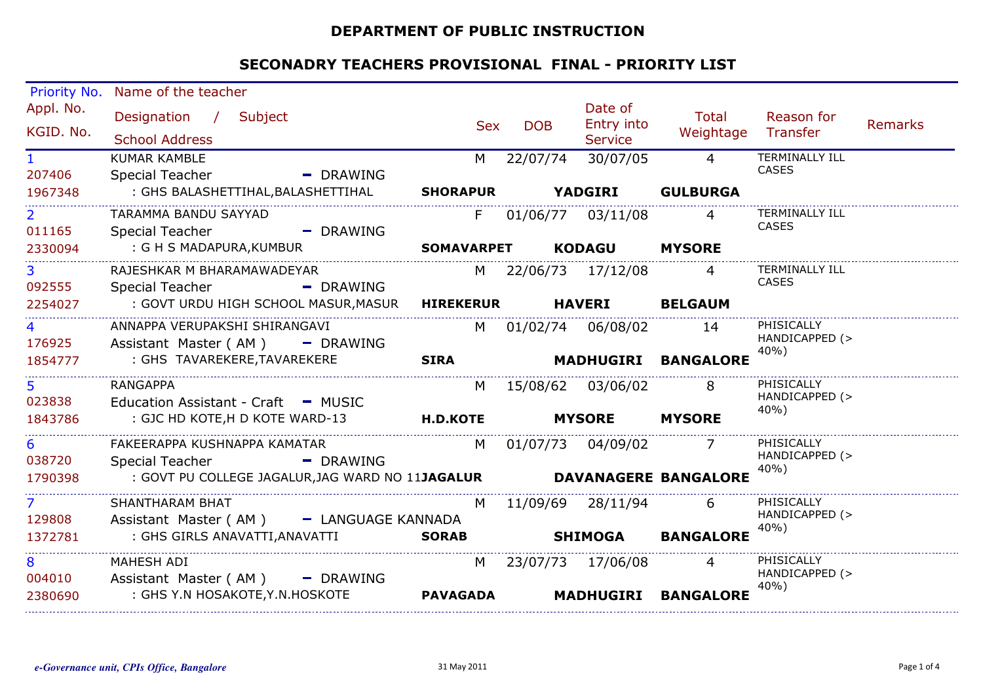### **DEPARTMENT OF PUBLIC INSTRUCTION**

| Priority No.   | Name of the teacher                                                          |                   |     |            |                     |                     |                                |                |
|----------------|------------------------------------------------------------------------------|-------------------|-----|------------|---------------------|---------------------|--------------------------------|----------------|
| Appl. No.      | Designation / Subject                                                        |                   |     |            | Date of             | Total               | Reason for                     |                |
| KGID. No.      |                                                                              |                   | Sex | <b>DOB</b> | Entry into          | Weightage Transfer  |                                | <b>Remarks</b> |
|                | <b>School Address</b>                                                        |                   |     |            | <b>Service</b>      |                     |                                |                |
| 1.             | <b>KUMAR KAMBLE</b>                                                          | M                 |     | 22/07/74   | 30/07/05            | $\overline{4}$      | TERMINALLY ILL<br><b>CASES</b> |                |
| 207406         | Special Teacher<br>$\blacksquare$ DRAWING                                    |                   |     |            |                     |                     |                                |                |
| 1967348        | : GHS BALASHETTIHAL, BALASHETTIHAL                                           | <b>SHORAPUR</b>   |     |            | <b>YADGIRI</b>      | <b>GULBURGA</b>     |                                |                |
| $\overline{2}$ | TARAMMA BANDU SAYYAD                                                         | F                 |     |            | 01/06/77 03/11/08   | $\overline{4}$      | <b>TERMINALLY ILL</b><br>CASES |                |
| 011165         | Special Teacher<br>- DRAWING                                                 |                   |     |            |                     |                     |                                |                |
| 2330094        | : G H S MADAPURA, KUMBUR                                                     | <b>SOMAVARPET</b> |     |            | KODAGU              | <b>MYSORE</b>       |                                |                |
| $\overline{3}$ | RAJESHKAR M BHARAMAWADEYAR                                                   |                   |     |            | M 22/06/73 17/12/08 | 4                   | TERMINALLY ILL                 |                |
| 092555         | $\blacksquare$ DRAWING<br>Special Teacher                                    |                   |     |            |                     |                     | CASES                          |                |
| 2254027        | : GOVT URDU HIGH SCHOOL MASUR, MASUR                                         | <b>HIREKERUR</b>  |     |            | <b>HAVERI</b>       | <b>BELGAUM</b>      |                                |                |
| 4              | ANNAPPA VERUPAKSHI SHIRANGAVI                                                |                   |     |            | M 01/02/74 06/08/02 | 14                  | PHISICALLY                     |                |
| 176925         | Assistant Master (AM) - DRAWING                                              |                   |     |            |                     |                     | HANDICAPPED (>                 |                |
| 1854777        | : GHS TAVAREKERE, TAVAREKERE                                                 | <b>SIRA</b>       |     |            |                     | MADHUGIRI BANGALORE | 40%)                           |                |
| 5              | <b>RANGAPPA</b>                                                              | M                 |     |            | 15/08/62 03/06/02   | 8                   | PHISICALLY                     |                |
| 023838         | Education Assistant - Craft - MUSIC                                          |                   |     |            |                     |                     | HANDICAPPED (>                 |                |
| 1843786        | : GJC HD KOTE, H D KOTE WARD-13                                              | <b>H.D.KOTE</b>   |     |            | <b>MYSORE</b>       | <b>MYSORE</b>       | 40%)                           |                |
| 6              | FAKEERAPPA KUSHNAPPA KAMATAR                                                 |                   |     |            | M 01/07/73 04/09/02 |                     | PHISICALLY                     |                |
| 038720         | <b>Special Teacher</b><br>- DRAWING                                          |                   |     |            |                     |                     | HANDICAPPED (>                 |                |
| 1790398        | : GOVT PU COLLEGE JAGALUR, JAG WARD NO 11JAGALUR <b>DAVANAGERE BANGALORE</b> |                   |     |            |                     |                     | 40%)                           |                |
|                |                                                                              |                   |     |            |                     |                     |                                |                |
| $\overline{7}$ | <b>SHANTHARAM BHAT</b>                                                       | M                 |     |            | 11/09/69 28/11/94   | 6                   | PHISICALLY<br>HANDICAPPED (>   |                |
| 129808         | Assistant Master (AM) - LANGUAGE KANNADA                                     |                   |     |            |                     |                     | 40%)                           |                |
| 1372781        | : GHS GIRLS ANAVATTI,ANAVATTI                                                | <b>SORAB</b>      |     |            | <b>SHIMOGA</b>      | <b>BANGALORE</b>    |                                |                |
| 8              | MAHESH ADI                                                                   | M                 |     |            | 23/07/73 17/06/08   | $\overline{4}$      | PHISICALLY                     |                |
| 004010         | Assistant Master ( $AM$ ) - DRAWING                                          |                   |     |            |                     |                     | HANDICAPPED (><br>40%)         |                |
| 2380690        | : GHS Y.N HOSAKOTE, Y.N. HOSKOTE                                             | <b>PAVAGADA</b>   |     |            | <b>MADHUGIRI</b>    | <b>BANGALORE</b>    |                                |                |
|                |                                                                              |                   |     |            |                     |                     |                                |                |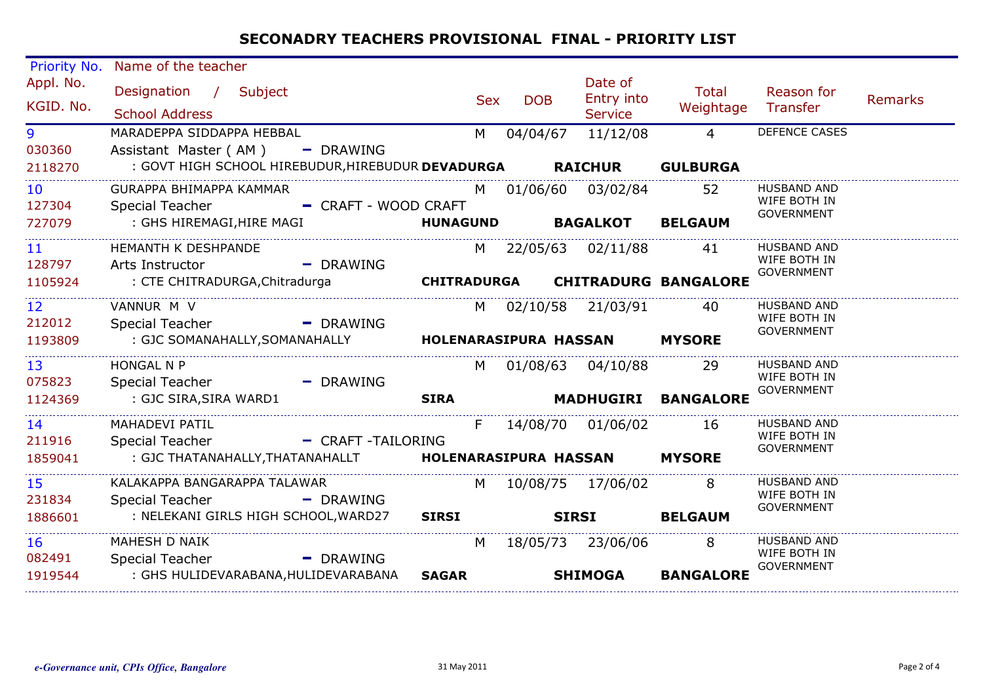| Priority No.           | Name of the teacher                                                                    |                    |            |                   |                                         |                             |                                   |                |
|------------------------|----------------------------------------------------------------------------------------|--------------------|------------|-------------------|-----------------------------------------|-----------------------------|-----------------------------------|----------------|
| Appl. No.<br>KGID. No. | Designation / Subject<br><b>School Address</b>                                         |                    | <b>Sex</b> | <b>DOB</b>        | Date of<br>Entry into<br><b>Service</b> | Total<br>Weightage          | Reason for<br>Transfer            | <b>Remarks</b> |
| 9                      | MARADEPPA SIDDAPPA HEBBAL                                                              | M                  |            | 04/04/67          | 11/12/08                                | $\overline{4}$              | <b>DEFENCE CASES</b>              |                |
| 030360                 | Assistant Master (AM)<br>$-$ DRAWING                                                   |                    |            |                   |                                         |                             |                                   |                |
| 2118270                | : GOVT HIGH SCHOOL HIREBUDUR, HIREBUDUR DEVADURGA RAICHUR                              |                    |            |                   |                                         | <b>GULBURGA</b>             |                                   |                |
| 10 <sup>°</sup>        | GURAPPA BHIMAPPA KAMMAR                                                                | M                  |            |                   | 01/06/60 03/02/84                       | 52                          | <b>HUSBAND AND</b>                |                |
| 127304                 | - CRAFT - WOOD CRAFT<br>Special Teacher                                                |                    |            |                   |                                         |                             | WIFE BOTH IN<br><b>GOVERNMENT</b> |                |
| 727079                 | : GHS HIREMAGI, HIRE MAGI                                                              | <b>HUNAGUND</b>    |            |                   | <b>BAGALKOT</b>                         | <b>BELGAUM</b>              |                                   |                |
| 11                     | <b>HEMANTH K DESHPANDE</b>                                                             |                    |            |                   | M 22/05/63 02/11/88                     | 41                          | <b>HUSBAND AND</b>                |                |
| 128797                 | - DRAWING<br>Arts Instructor                                                           |                    |            |                   |                                         |                             | WIFE BOTH IN<br><b>GOVERNMENT</b> |                |
| 1105924                | : CTE CHITRADURGA, Chitradurga                                                         | <b>CHITRADURGA</b> |            |                   |                                         | <b>CHITRADURG BANGALORE</b> |                                   |                |
| 12 <sup>2</sup>        | VANNUR M V                                                                             | M                  |            | 02/10/58 21/03/91 |                                         | 40                          | <b>HUSBAND AND</b>                |                |
| 212012                 | <b>Special Teacher</b><br>$\blacksquare$ DRAWING                                       |                    |            |                   |                                         |                             | WIFE BOTH IN<br><b>GOVERNMENT</b> |                |
| 1193809                | : GJC SOMANAHALLY, SOMANAHALLY                                                         |                    |            |                   | <b>HOLENARASIPURA HASSAN</b>            | <b>MYSORE</b>               |                                   |                |
| 13 <sup>°</sup>        | <b>HONGAL N P</b>                                                                      | M                  |            |                   | 01/08/63 04/10/88                       | -29                         | <b>HUSBAND AND</b>                |                |
| 075823                 | Special Teacher<br>- DRAWING                                                           |                    |            |                   |                                         |                             | WIFE BOTH IN<br><b>GOVERNMENT</b> |                |
| 1124369                | : GJC SIRA, SIRA WARD1                                                                 | <b>SIRA</b>        |            |                   |                                         | MADHUGIRI BANGALORE         |                                   |                |
| 14                     | MAHADEVI PATIL                                                                         | F.                 |            |                   | 14/08/70 01/06/02                       | 16                          | <b>HUSBAND AND</b>                |                |
| 211916                 | <b>Special Teacher</b><br>- CRAFT-TAILORING                                            |                    |            |                   |                                         |                             | WIFE BOTH IN<br><b>GOVERNMENT</b> |                |
| 1859041                | : GJC THATANAHALLY, THATANAHALLT                HOLENARASIPURA HASSAN           MYSORE |                    |            |                   |                                         |                             |                                   |                |
| 15 <sub>1</sub>        | KALAKAPPA BANGARAPPA TALAWAR                                                           |                    |            |                   | M 10/08/75 17/06/02                     | 8                           | <b>HUSBAND AND</b>                |                |
| 231834                 | Special Teacher - - - - - DRAWING                                                      |                    |            |                   |                                         |                             | WIFE BOTH IN<br><b>GOVERNMENT</b> |                |
| 1886601                | : NELEKANI GIRLS HIGH SCHOOL, WARD27                                                   | <b>SIRSI</b>       |            | <b>SIRSI</b>      |                                         | <b>BELGAUM</b>              |                                   |                |
| 16                     | MAHESH D NAIK                                                                          | M                  |            |                   | 18/05/73 23/06/06                       | 8                           | <b>HUSBAND AND</b>                |                |
| 082491                 | Special Teacher<br>$\blacksquare$ DRAWING                                              |                    |            |                   |                                         |                             | WIFE BOTH IN<br><b>GOVERNMENT</b> |                |
| 1919544                | : GHS HULIDEVARABANA, HULIDEVARABANA                                                   | <b>SAGAR</b>       |            |                   | <b>SHIMOGA</b>                          | <b>BANGALORE</b>            |                                   |                |
|                        |                                                                                        |                    |            |                   |                                         |                             |                                   |                |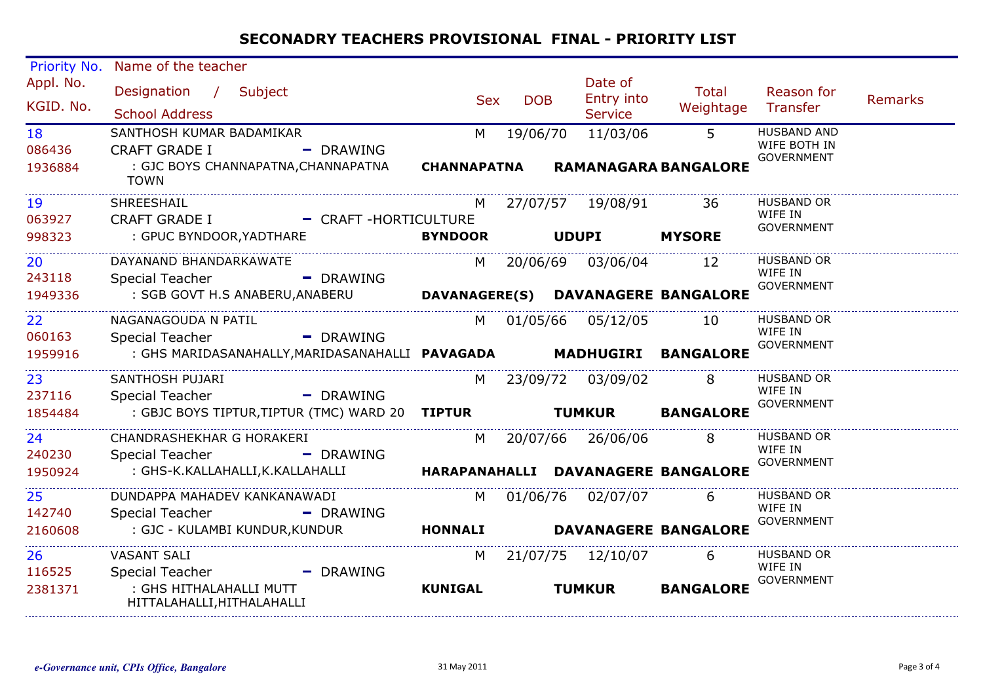| Priority No.            | Name of the teacher                                                                            |             |                         |            |                                         |                                    |                                                         |                |
|-------------------------|------------------------------------------------------------------------------------------------|-------------|-------------------------|------------|-----------------------------------------|------------------------------------|---------------------------------------------------------|----------------|
| Appl. No.<br>KGID. No.  | Designation / Subject<br><b>School Address</b>                                                 |             | Sex                     | <b>DOB</b> | Date of<br>Entry into<br><b>Service</b> | <b>Total</b><br>Weightage Transfer | Reason for                                              | <b>Remarks</b> |
| 18<br>086436<br>1936884 | SANTHOSH KUMAR BADAMIKAR<br><b>CRAFT GRADE I</b><br>: GJC BOYS CHANNAPATNA, CHANNAPATNA        | - DRAWING   | M<br><b>CHANNAPATNA</b> | 19/06/70   | 11/03/06<br><b>RAMANAGARA BANGALORE</b> | $\overline{5}$                     | <b>HUSBAND AND</b><br>WIFE BOTH IN<br><b>GOVERNMENT</b> |                |
|                         | <b>TOWN</b>                                                                                    |             |                         |            |                                         |                                    |                                                         |                |
| 19<br>063927            | SHREESHAIL<br>CRAFT GRADE I - CRAFT -HORTICULTURE                                              |             |                         |            | M 27/07/57 19/08/91                     | 36                                 | <b>HUSBAND OR</b><br>WIFE IN                            |                |
| 998323                  | : GPUC BYNDOOR, YADTHARE                                                                       |             | <b>BYNDOOR</b>          |            | <b>UDUPI MYSORE</b>                     |                                    | <b>GOVERNMENT</b>                                       |                |
| 20<br>243118            | DAYANAND BHANDARKAWATE<br><b>Special Teacher</b>                                               | - DRAWING   |                         |            | M 20/06/69 03/06/04                     | 12                                 | <b>HUSBAND OR</b><br>WIFE IN<br><b>GOVERNMENT</b>       |                |
| 1949336                 | : SGB GOVT H.S ANABERU,ANABERU                                                                 |             |                         |            | DAVANAGERE(S) DAVANAGERE BANGALORE      |                                    |                                                         |                |
| 22<br>060163            | NAGANAGOUDA N PATIL<br>Special Teacher                                                         | - DRAWING   |                         |            | M 01/05/66 05/12/05                     | -10                                | <b>HUSBAND OR</b><br>WIFE IN<br><b>GOVERNMENT</b>       |                |
| 1959916                 | : GHS MARIDASANAHALLY, MARIDASANAHALLI PAVAGADA MADHUGIRI BANGALORE                            |             |                         |            |                                         |                                    |                                                         |                |
| 23<br>237116            | SANTHOSH PUJARI<br>Special Teacher - - - - - - DRAWING                                         |             |                         |            | M 23/09/72 03/09/02                     | 8                                  | <b>HUSBAND OR</b><br>WIFE IN                            |                |
| 1854484                 | : GBJC BOYS TIPTUR,TIPTUR (TMC) WARD 20 TIPTUR TUMKUR                                          |             |                         |            |                                         | <b>BANGALORE</b>                   | <b>GOVERNMENT</b>                                       |                |
| 24<br>240230            | CHANDRASHEKHAR G HORAKERI<br>Special Teacher - - - - - DRAWING                                 |             |                         |            | M 20/07/66 26/06/06                     | 8                                  | <b>HUSBAND OR</b><br>WIFE IN                            |                |
| 1950924                 | : GHS-K.KALLAHALLI,K.KALLAHALLI <b>MARAPANAHALLI DAVANAGERE BANGALORE</b>                      |             |                         |            |                                         |                                    | <b>GOVERNMENT</b>                                       |                |
| 25<br>142740            | DUNDAPPA MAHADEV KANKANAWADI<br>Special Teacher - DRAWING                                      |             |                         |            | M 01/06/76 02/07/07                     | 6                                  | <b>HUSBAND OR</b><br>WIFE IN                            |                |
| 2160608                 | : GJC - KULAMBI KUNDUR,KUNDUR                                                                  |             | HONNALI                 |            | <b>DAVANAGERE BANGALORE</b>             |                                    | <b>GOVERNMENT</b>                                       |                |
| 26                      | <b>VASANT SALI</b>                                                                             |             |                         |            | M 21/07/75 12/10/07                     | 6                                  | <b>HUSBAND OR</b>                                       |                |
| 116525<br>2381371       | Special Teacher North Special Teacher<br>: GHS HITHALAHALLI MUTT<br>HITTALAHALLI, HITHALAHALLI | $-$ DRAWING | <b>KUNIGAL</b>          |            | <b>TUMKUR</b>                           | <b>BANGALORE</b>                   | WIFE IN<br><b>GOVERNMENT</b>                            |                |